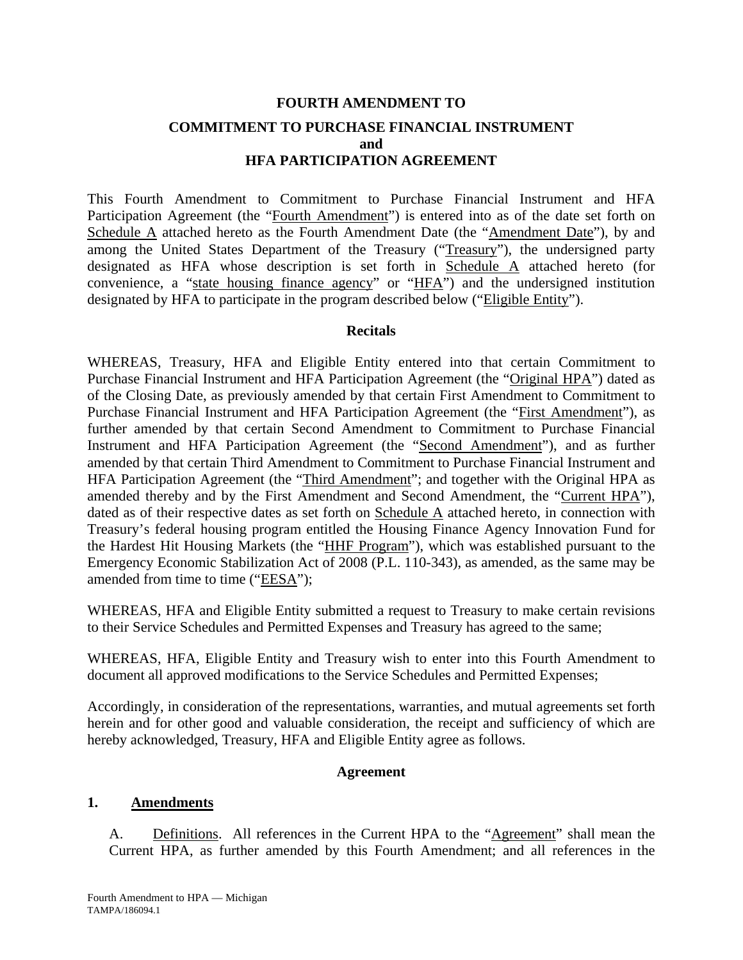# **FOURTH AMENDMENT TO COMMITMENT TO PURCHASE FINANCIAL INSTRUMENT and HFA PARTICIPATION AGREEMENT**

This Fourth Amendment to Commitment to Purchase Financial Instrument and HFA Participation Agreement (the "Fourth Amendment") is entered into as of the date set forth on Schedule A attached hereto as the Fourth Amendment Date (the "Amendment Date"), by and among the United States Department of the Treasury ("Treasury"), the undersigned party designated as HFA whose description is set forth in Schedule A attached hereto (for convenience, a "state housing finance agency" or "HFA") and the undersigned institution designated by HFA to participate in the program described below ("Eligible Entity").

### **Recitals**

WHEREAS, Treasury, HFA and Eligible Entity entered into that certain Commitment to Purchase Financial Instrument and HFA Participation Agreement (the "Original HPA") dated as of the Closing Date, as previously amended by that certain First Amendment to Commitment to Purchase Financial Instrument and HFA Participation Agreement (the "First Amendment"), as further amended by that certain Second Amendment to Commitment to Purchase Financial Instrument and HFA Participation Agreement (the "Second Amendment"), and as further amended by that certain Third Amendment to Commitment to Purchase Financial Instrument and HFA Participation Agreement (the "Third Amendment"; and together with the Original HPA as amended thereby and by the First Amendment and Second Amendment, the "Current HPA"), dated as of their respective dates as set forth on Schedule A attached hereto, in connection with Treasury's federal housing program entitled the Housing Finance Agency Innovation Fund for the Hardest Hit Housing Markets (the "HHF Program"), which was established pursuant to the Emergency Economic Stabilization Act of 2008 (P.L. 110-343), as amended, as the same may be amended from time to time ("EESA");

WHEREAS, HFA and Eligible Entity submitted a request to Treasury to make certain revisions to their Service Schedules and Permitted Expenses and Treasury has agreed to the same;

WHEREAS, HFA, Eligible Entity and Treasury wish to enter into this Fourth Amendment to document all approved modifications to the Service Schedules and Permitted Expenses;

Accordingly, in consideration of the representations, warranties, and mutual agreements set forth herein and for other good and valuable consideration, the receipt and sufficiency of which are hereby acknowledged, Treasury, HFA and Eligible Entity agree as follows.

### **Agreement**

### **1. Amendments**

A. Definitions. All references in the Current HPA to the "Agreement" shall mean the Current HPA, as further amended by this Fourth Amendment; and all references in the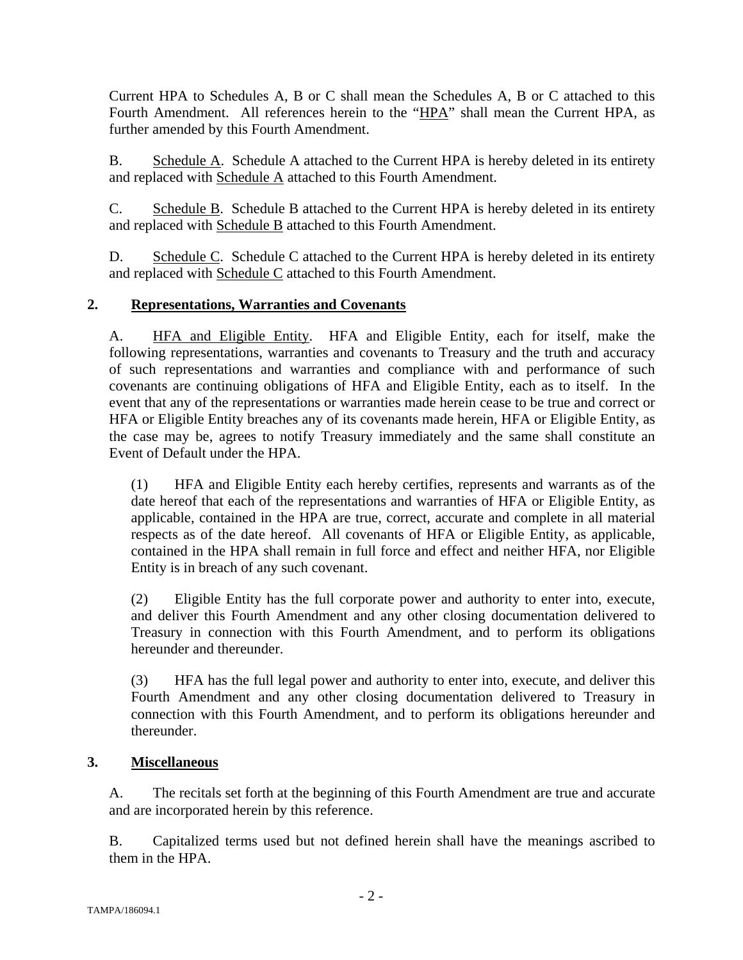Current HPA to Schedules A, B or C shall mean the Schedules A, B or C attached to this Fourth Amendment. All references herein to the "HPA" shall mean the Current HPA, as further amended by this Fourth Amendment.

B. Schedule A. Schedule A attached to the Current HPA is hereby deleted in its entirety and replaced with Schedule A attached to this Fourth Amendment.

C. Schedule B. Schedule B attached to the Current HPA is hereby deleted in its entirety and replaced with Schedule B attached to this Fourth Amendment.

D. Schedule C. Schedule C attached to the Current HPA is hereby deleted in its entirety and replaced with Schedule C attached to this Fourth Amendment.

### **2. Representations, Warranties and Covenants**

A. HFA and Eligible Entity. HFA and Eligible Entity, each for itself, make the following representations, warranties and covenants to Treasury and the truth and accuracy of such representations and warranties and compliance with and performance of such covenants are continuing obligations of HFA and Eligible Entity, each as to itself. In the event that any of the representations or warranties made herein cease to be true and correct or HFA or Eligible Entity breaches any of its covenants made herein, HFA or Eligible Entity, as the case may be, agrees to notify Treasury immediately and the same shall constitute an Event of Default under the HPA.

(1) HFA and Eligible Entity each hereby certifies, represents and warrants as of the date hereof that each of the representations and warranties of HFA or Eligible Entity, as applicable, contained in the HPA are true, correct, accurate and complete in all material respects as of the date hereof. All covenants of HFA or Eligible Entity, as applicable, contained in the HPA shall remain in full force and effect and neither HFA, nor Eligible Entity is in breach of any such covenant.

(2) Eligible Entity has the full corporate power and authority to enter into, execute, and deliver this Fourth Amendment and any other closing documentation delivered to Treasury in connection with this Fourth Amendment, and to perform its obligations hereunder and thereunder.

(3) HFA has the full legal power and authority to enter into, execute, and deliver this Fourth Amendment and any other closing documentation delivered to Treasury in connection with this Fourth Amendment, and to perform its obligations hereunder and thereunder.

### **3. Miscellaneous**

A. The recitals set forth at the beginning of this Fourth Amendment are true and accurate and are incorporated herein by this reference.

B. Capitalized terms used but not defined herein shall have the meanings ascribed to them in the HPA.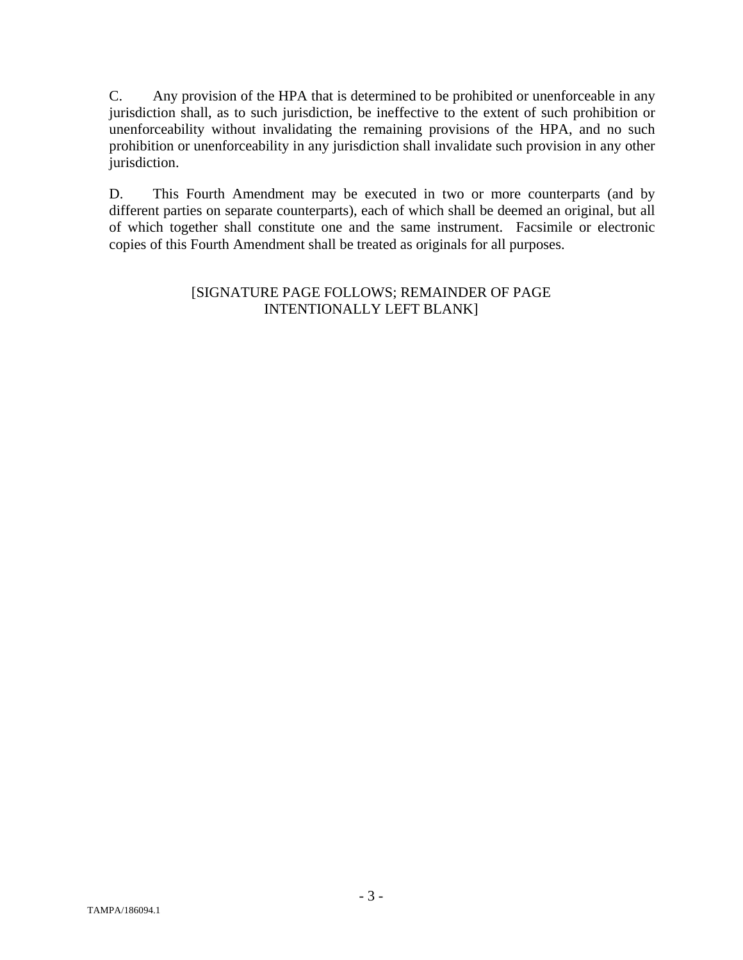C. Any provision of the HPA that is determined to be prohibited or unenforceable in any jurisdiction shall, as to such jurisdiction, be ineffective to the extent of such prohibition or unenforceability without invalidating the remaining provisions of the HPA, and no such prohibition or unenforceability in any jurisdiction shall invalidate such provision in any other jurisdiction.

D. This Fourth Amendment may be executed in two or more counterparts (and by different parties on separate counterparts), each of which shall be deemed an original, but all of which together shall constitute one and the same instrument. Facsimile or electronic copies of this Fourth Amendment shall be treated as originals for all purposes.

### [SIGNATURE PAGE FOLLOWS; REMAINDER OF PAGE INTENTIONALLY LEFT BLANK]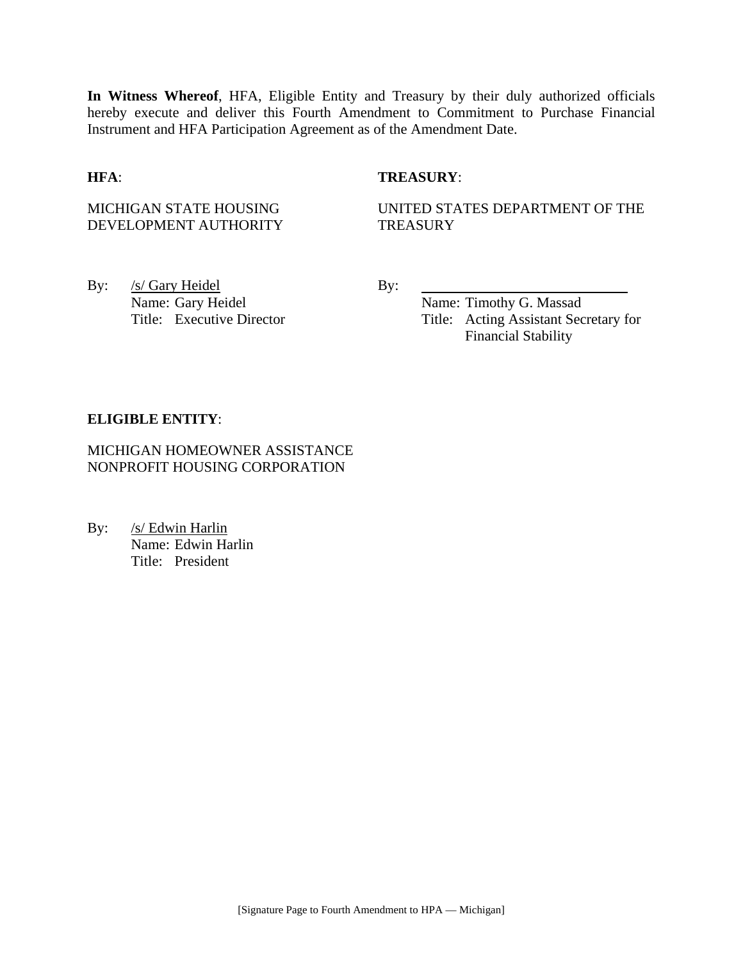**In Witness Whereof**, HFA, Eligible Entity and Treasury by their duly authorized officials hereby execute and deliver this Fourth Amendment to Commitment to Purchase Financial Instrument and HFA Participation Agreement as of the Amendment Date.

### **HFA**: **TREASURY**:

MICHIGAN STATE HOUSING DEVELOPMENT AUTHORITY UNITED STATES DEPARTMENT OF THE **TREASURY** 

By: <u>/s/ Gary Heidel</u> By: Name: Gary Heidel Name: Timothy G. Massad

Title: Executive Director Title: Acting Assistant Secretary for Financial Stability

#### **ELIGIBLE ENTITY**:

MICHIGAN HOMEOWNER ASSISTANCE NONPROFIT HOUSING CORPORATION

By: /s/ Edwin Harlin Name: Edwin Harlin Title: President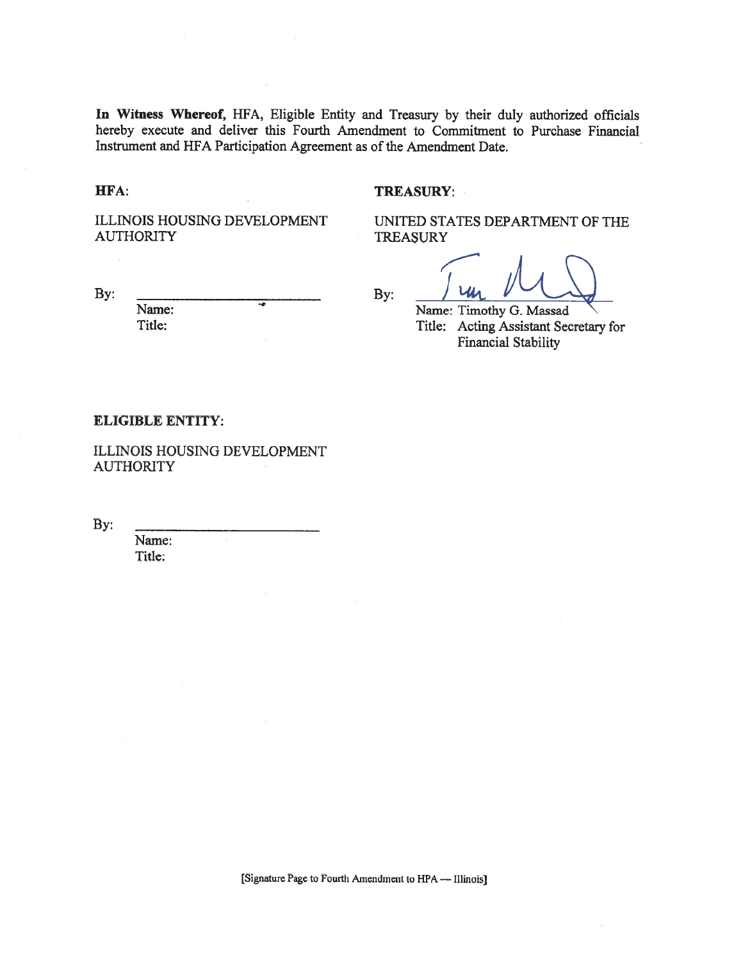In Witness Whereof, HFA, Eligible Entity and Treasury by their duly authorized officials hereby execute and deliver this Fourth Amendment to Commitment to Purchase Financial Instrument and HFA Participation Agreement as of the Amendment Date.

#### HFA:

By:

#### **TREASURY:**

ILLINOIS HOUSING DEVELOPMENT **AUTHORITY** 

UNITED STATES DEPARTMENT OF THE **TREASURY** 

By:

Name: Timothy G. Massad Title: Acting Assistant Secretary for **Financial Stability** 

#### **ELIGIBLE ENTITY:**

Name: Title:

ILLINOIS HOUSING DEVELOPMENT **AUTHORITY** 

By:

Name: Title: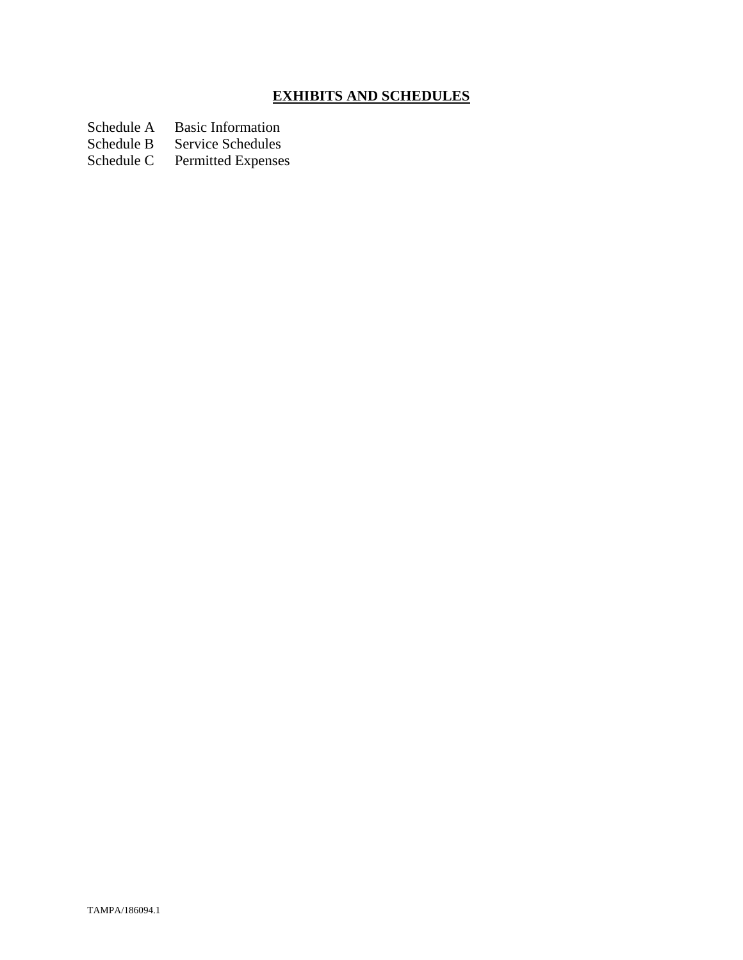# **EXHIBITS AND SCHEDULES**

Schedule A Basic Information<br>Schedule B Service Schedules

Schedule B Service Schedules<br>Schedule C Permitted Expenses

Permitted Expenses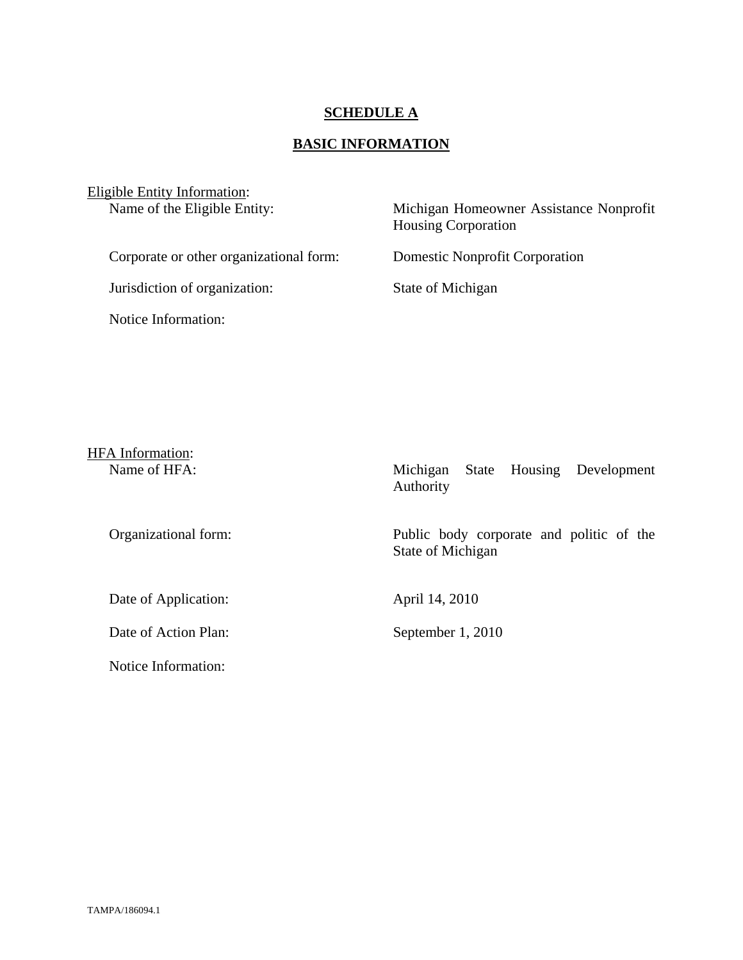### **SCHEDULE A**

# **BASIC INFORMATION**

| <b>Eligible Entity Information:</b><br>Name of the Eligible Entity: | Michigan Homeowner Assistance Nonprofit<br><b>Housing Corporation</b> |
|---------------------------------------------------------------------|-----------------------------------------------------------------------|
| Corporate or other organizational form:                             | <b>Domestic Nonprofit Corporation</b>                                 |
| Jurisdiction of organization:                                       | State of Michigan                                                     |
| Notice Information:                                                 |                                                                       |

| <b>HFA</b> Information: |                                                               |
|-------------------------|---------------------------------------------------------------|
| Name of HFA:            | State Housing Development<br>Michigan<br>Authority            |
| Organizational form:    | Public body corporate and politic of the<br>State of Michigan |
| Date of Application:    | April 14, 2010                                                |
| Date of Action Plan:    | September 1, 2010                                             |
| Notice Information:     |                                                               |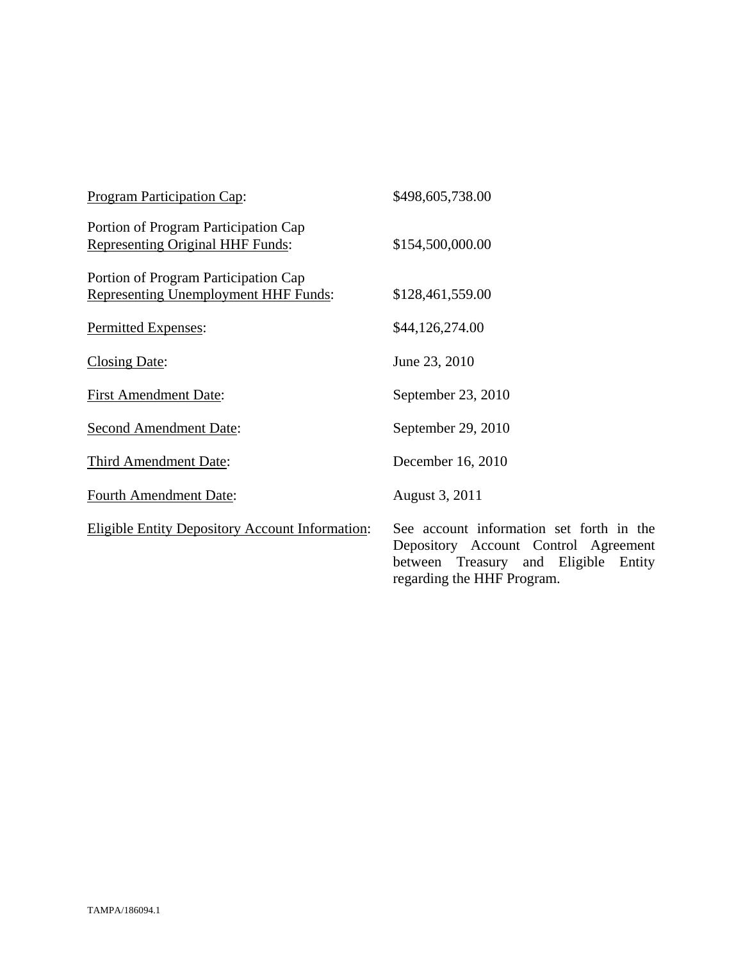| Program Participation Cap:                                                      | \$498,605,738.00                                                                                                                                          |
|---------------------------------------------------------------------------------|-----------------------------------------------------------------------------------------------------------------------------------------------------------|
| Portion of Program Participation Cap<br><b>Representing Original HHF Funds:</b> | \$154,500,000.00                                                                                                                                          |
| Portion of Program Participation Cap<br>Representing Unemployment HHF Funds:    | \$128,461,559.00                                                                                                                                          |
| Permitted Expenses:                                                             | \$44,126,274.00                                                                                                                                           |
| Closing Date:                                                                   | June 23, 2010                                                                                                                                             |
| <b>First Amendment Date:</b>                                                    | September 23, 2010                                                                                                                                        |
| <b>Second Amendment Date:</b>                                                   | September 29, 2010                                                                                                                                        |
| Third Amendment Date:                                                           | December 16, 2010                                                                                                                                         |
| <b>Fourth Amendment Date:</b>                                                   | August 3, 2011                                                                                                                                            |
| <b>Eligible Entity Depository Account Information:</b>                          | See account information set forth in the<br>Depository Account Control Agreement<br>between Treasury and Eligible<br>Entity<br>regarding the HHF Program. |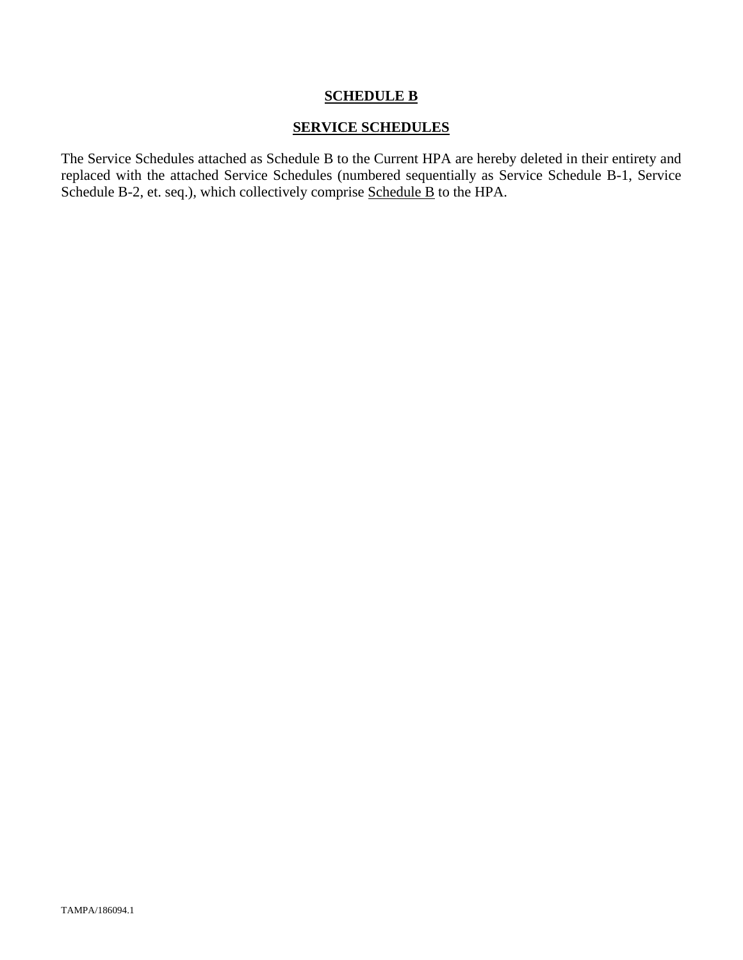### **SCHEDULE B**

### **SERVICE SCHEDULES**

The Service Schedules attached as Schedule B to the Current HPA are hereby deleted in their entirety and replaced with the attached Service Schedules (numbered sequentially as Service Schedule B-1, Service Schedule B-2, et. seq.), which collectively comprise Schedule B to the HPA.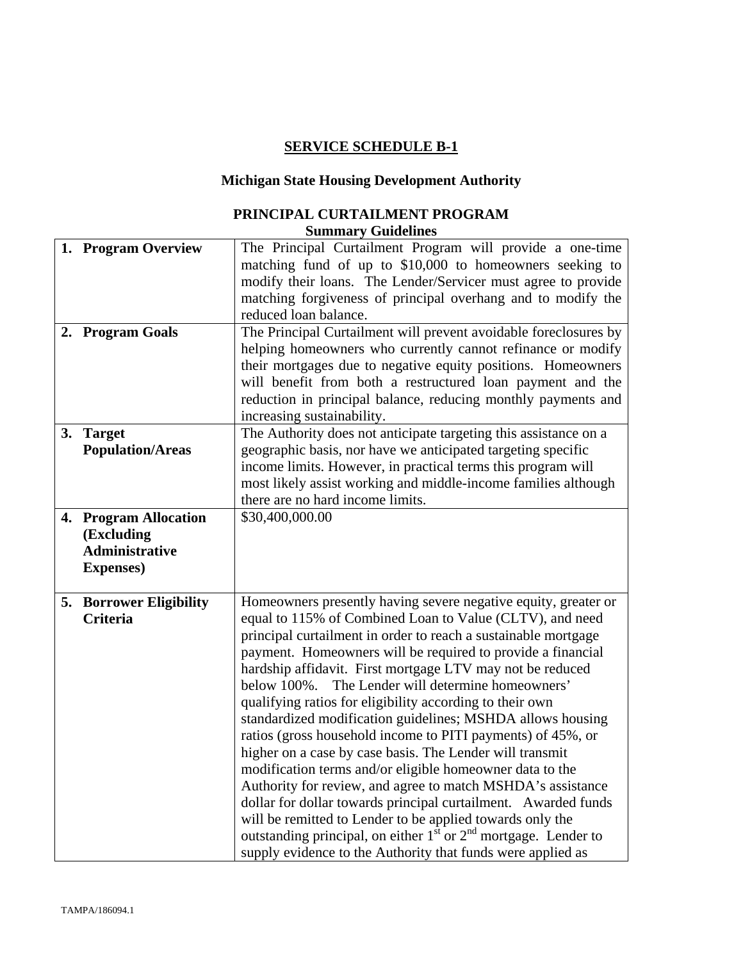# **SERVICE SCHEDULE B-1**

# **Michigan State Housing Development Authority**

### **PRINCIPAL CURTAILMENT PROGRAM Summary Guidelines**

| 1. Program Overview                                                               | The Principal Curtailment Program will provide a one-time<br>matching fund of up to \$10,000 to homeowners seeking to<br>modify their loans. The Lender/Servicer must agree to provide<br>matching forgiveness of principal overhang and to modify the<br>reduced loan balance.                                                                                                                                                                                                                                                                                                                                                                                                                                                                                                                                                                                                                                                                                                                                                       |
|-----------------------------------------------------------------------------------|---------------------------------------------------------------------------------------------------------------------------------------------------------------------------------------------------------------------------------------------------------------------------------------------------------------------------------------------------------------------------------------------------------------------------------------------------------------------------------------------------------------------------------------------------------------------------------------------------------------------------------------------------------------------------------------------------------------------------------------------------------------------------------------------------------------------------------------------------------------------------------------------------------------------------------------------------------------------------------------------------------------------------------------|
| 2. Program Goals                                                                  | The Principal Curtailment will prevent avoidable foreclosures by<br>helping homeowners who currently cannot refinance or modify<br>their mortgages due to negative equity positions. Homeowners<br>will benefit from both a restructured loan payment and the<br>reduction in principal balance, reducing monthly payments and<br>increasing sustainability.                                                                                                                                                                                                                                                                                                                                                                                                                                                                                                                                                                                                                                                                          |
| 3. Target<br><b>Population/Areas</b>                                              | The Authority does not anticipate targeting this assistance on a<br>geographic basis, nor have we anticipated targeting specific<br>income limits. However, in practical terms this program will<br>most likely assist working and middle-income families although<br>there are no hard income limits.                                                                                                                                                                                                                                                                                                                                                                                                                                                                                                                                                                                                                                                                                                                                |
| 4. Program Allocation<br>(Excluding<br><b>Administrative</b><br><b>Expenses</b> ) | \$30,400,000.00                                                                                                                                                                                                                                                                                                                                                                                                                                                                                                                                                                                                                                                                                                                                                                                                                                                                                                                                                                                                                       |
| 5. Borrower Eligibility<br><b>Criteria</b>                                        | Homeowners presently having severe negative equity, greater or<br>equal to 115% of Combined Loan to Value (CLTV), and need<br>principal curtailment in order to reach a sustainable mortgage<br>payment. Homeowners will be required to provide a financial<br>hardship affidavit. First mortgage LTV may not be reduced<br>The Lender will determine homeowners'<br>below 100%.<br>qualifying ratios for eligibility according to their own<br>standardized modification guidelines; MSHDA allows housing<br>ratios (gross household income to PITI payments) of 45%, or<br>higher on a case by case basis. The Lender will transmit<br>modification terms and/or eligible homeowner data to the<br>Authority for review, and agree to match MSHDA's assistance<br>dollar for dollar towards principal curtailment. Awarded funds<br>will be remitted to Lender to be applied towards only the<br>outstanding principal, on either $1st$ or $2nd$ mortgage. Lender to<br>supply evidence to the Authority that funds were applied as |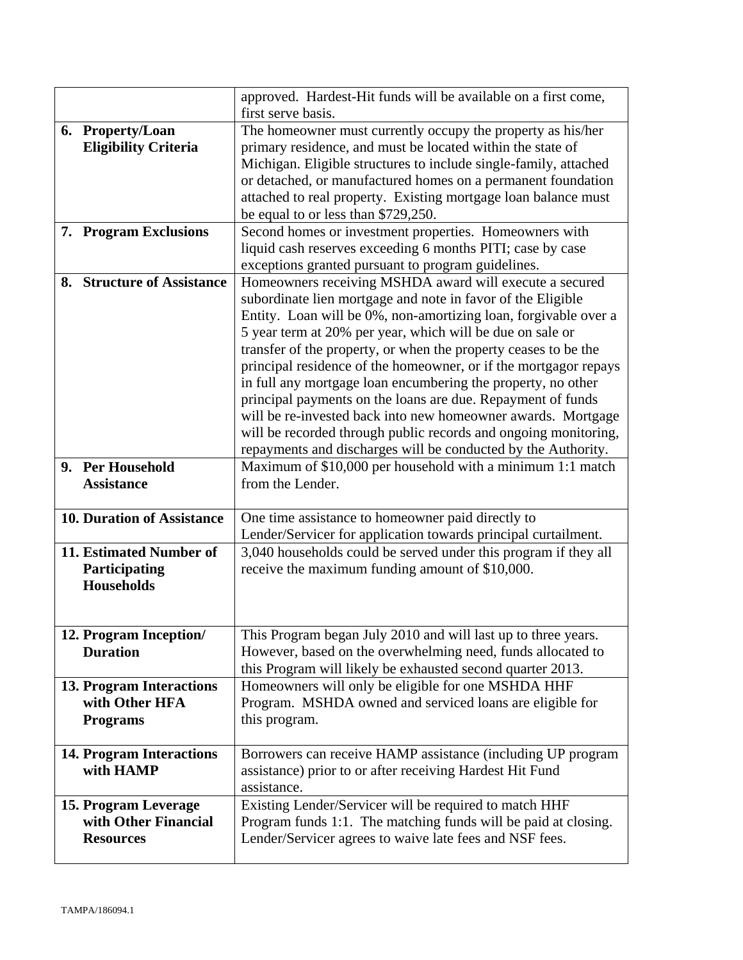|                                           | approved. Hardest-Hit funds will be available on a first come,<br>first serve basis. |
|-------------------------------------------|--------------------------------------------------------------------------------------|
| 6. Property/Loan                          | The homeowner must currently occupy the property as his/her                          |
| <b>Eligibility Criteria</b>               | primary residence, and must be located within the state of                           |
|                                           | Michigan. Eligible structures to include single-family, attached                     |
|                                           | or detached, or manufactured homes on a permanent foundation                         |
|                                           |                                                                                      |
|                                           | attached to real property. Existing mortgage loan balance must                       |
|                                           | be equal to or less than \$729,250.                                                  |
| 7. Program Exclusions                     | Second homes or investment properties. Homeowners with                               |
|                                           | liquid cash reserves exceeding 6 months PITI; case by case                           |
|                                           | exceptions granted pursuant to program guidelines.                                   |
| <b>Structure of Assistance</b><br>8.      | Homeowners receiving MSHDA award will execute a secured                              |
|                                           | subordinate lien mortgage and note in favor of the Eligible                          |
|                                           | Entity. Loan will be 0%, non-amortizing loan, forgivable over a                      |
|                                           | 5 year term at 20% per year, which will be due on sale or                            |
|                                           | transfer of the property, or when the property ceases to be the                      |
|                                           | principal residence of the homeowner, or if the mortgagor repays                     |
|                                           | in full any mortgage loan encumbering the property, no other                         |
|                                           | principal payments on the loans are due. Repayment of funds                          |
|                                           | will be re-invested back into new homeowner awards. Mortgage                         |
|                                           | will be recorded through public records and ongoing monitoring,                      |
|                                           | repayments and discharges will be conducted by the Authority.                        |
| 9. Per Household                          | Maximum of \$10,000 per household with a minimum 1:1 match                           |
| <b>Assistance</b>                         | from the Lender.                                                                     |
|                                           |                                                                                      |
| <b>10. Duration of Assistance</b>         | One time assistance to homeowner paid directly to                                    |
|                                           | Lender/Servicer for application towards principal curtailment.                       |
| 11. Estimated Number of                   | 3,040 households could be served under this program if they all                      |
| <b>Participating</b><br><b>Households</b> | receive the maximum funding amount of \$10,000.                                      |
|                                           |                                                                                      |
|                                           |                                                                                      |
| 12. Program Inception/                    | This Program began July 2010 and will last up to three years.                        |
| <b>Duration</b>                           | However, based on the overwhelming need, funds allocated to                          |
|                                           | this Program will likely be exhausted second quarter 2013.                           |
| 13. Program Interactions                  | Homeowners will only be eligible for one MSHDA HHF                                   |
| with Other HFA                            | Program. MSHDA owned and serviced loans are eligible for                             |
| <b>Programs</b>                           | this program.                                                                        |
|                                           |                                                                                      |
| <b>14. Program Interactions</b>           | Borrowers can receive HAMP assistance (including UP program                          |
| with HAMP                                 | assistance) prior to or after receiving Hardest Hit Fund                             |
|                                           | assistance.                                                                          |
| 15. Program Leverage                      | Existing Lender/Servicer will be required to match HHF                               |
| with Other Financial                      | Program funds 1:1. The matching funds will be paid at closing.                       |
| <b>Resources</b>                          | Lender/Servicer agrees to waive late fees and NSF fees.                              |
|                                           |                                                                                      |
|                                           |                                                                                      |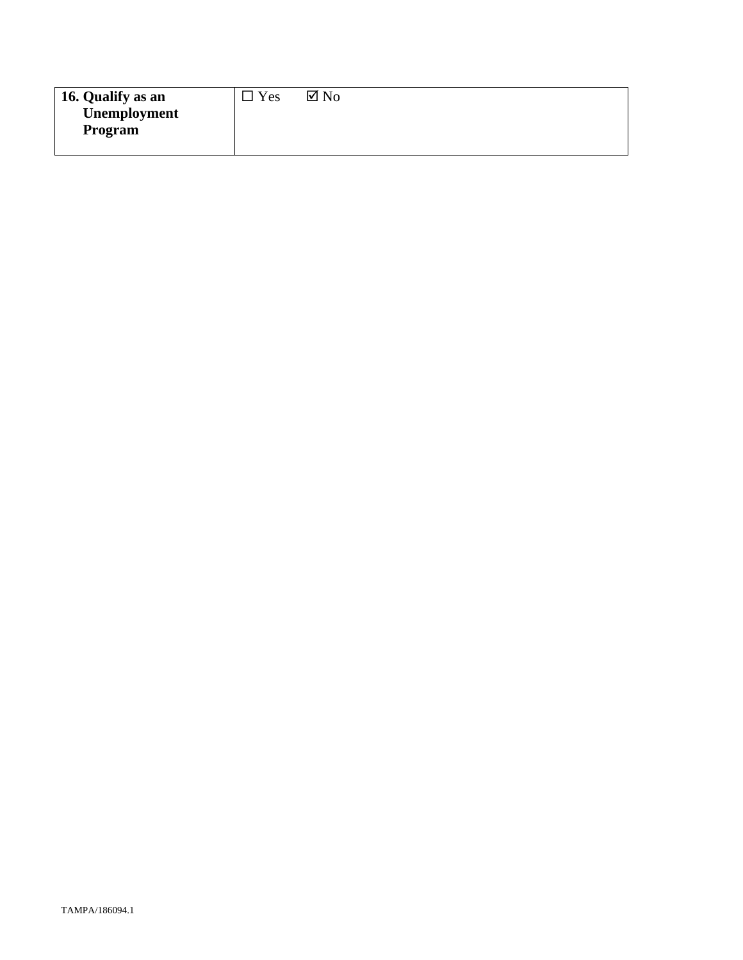| 16. Qualify as an | Yes | $\boxtimes$ No |
|-------------------|-----|----------------|
| Unemployment      |     |                |
| Program           |     |                |
|                   |     |                |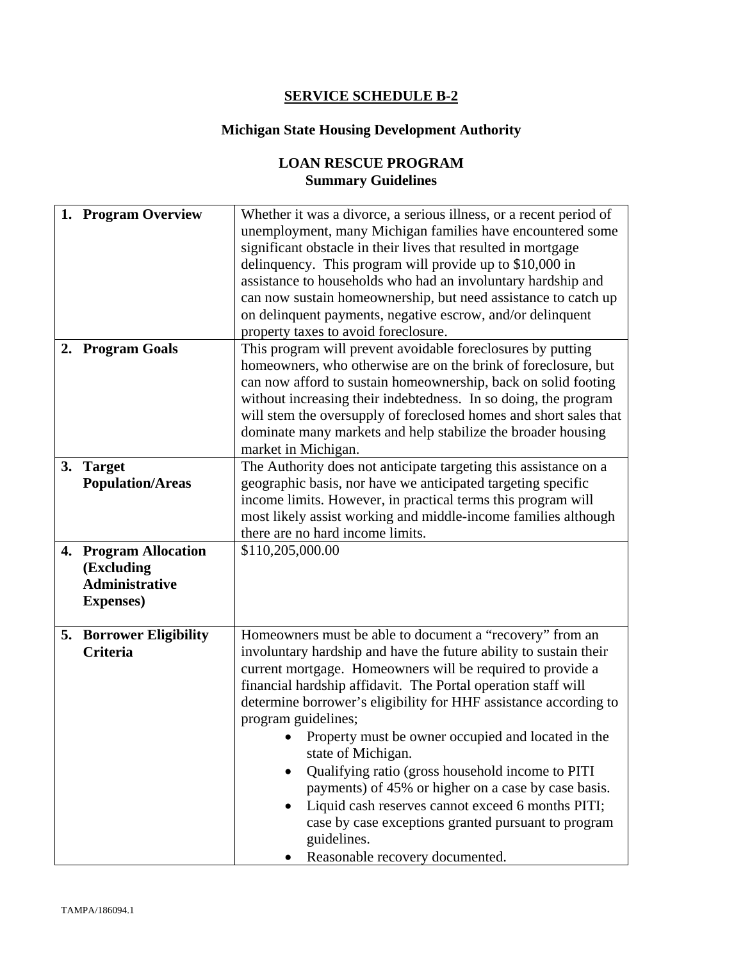# **SERVICE SCHEDULE B-2**

# **Michigan State Housing Development Authority**

# **LOAN RESCUE PROGRAM Summary Guidelines**

|    | 1. Program Overview                 | Whether it was a divorce, a serious illness, or a recent period of<br>unemployment, many Michigan families have encountered some  |
|----|-------------------------------------|-----------------------------------------------------------------------------------------------------------------------------------|
|    |                                     | significant obstacle in their lives that resulted in mortgage<br>delinquency. This program will provide up to \$10,000 in         |
|    |                                     | assistance to households who had an involuntary hardship and                                                                      |
|    |                                     | can now sustain homeownership, but need assistance to catch up                                                                    |
|    |                                     | on delinquent payments, negative escrow, and/or delinquent                                                                        |
|    |                                     | property taxes to avoid foreclosure.                                                                                              |
| 2. | <b>Program Goals</b>                | This program will prevent avoidable foreclosures by putting                                                                       |
|    |                                     | homeowners, who otherwise are on the brink of foreclosure, but                                                                    |
|    |                                     | can now afford to sustain homeownership, back on solid footing                                                                    |
|    |                                     | without increasing their indebtedness. In so doing, the program                                                                   |
|    |                                     | will stem the oversupply of foreclosed homes and short sales that<br>dominate many markets and help stabilize the broader housing |
|    |                                     | market in Michigan.                                                                                                               |
| 3. | <b>Target</b>                       | The Authority does not anticipate targeting this assistance on a                                                                  |
|    | <b>Population/Areas</b>             | geographic basis, nor have we anticipated targeting specific                                                                      |
|    |                                     | income limits. However, in practical terms this program will                                                                      |
|    |                                     | most likely assist working and middle-income families although                                                                    |
|    |                                     | there are no hard income limits.                                                                                                  |
|    | 4. Program Allocation               | \$110,205,000.00                                                                                                                  |
|    | (Excluding<br><b>Administrative</b> |                                                                                                                                   |
|    | <b>Expenses</b> )                   |                                                                                                                                   |
|    |                                     |                                                                                                                                   |
|    | <b>5. Borrower Eligibility</b>      | Homeowners must be able to document a "recovery" from an                                                                          |
|    | <b>Criteria</b>                     | involuntary hardship and have the future ability to sustain their                                                                 |
|    |                                     | current mortgage. Homeowners will be required to provide a                                                                        |
|    |                                     | financial hardship affidavit. The Portal operation staff will                                                                     |
|    |                                     | determine borrower's eligibility for HHF assistance according to                                                                  |
|    |                                     | program guidelines;                                                                                                               |
|    |                                     | Property must be owner occupied and located in the<br>state of Michigan.                                                          |
|    |                                     | Qualifying ratio (gross household income to PITI                                                                                  |
|    |                                     | payments) of 45% or higher on a case by case basis.                                                                               |
|    |                                     | Liquid cash reserves cannot exceed 6 months PITI;                                                                                 |
|    |                                     | case by case exceptions granted pursuant to program                                                                               |
|    |                                     | guidelines.                                                                                                                       |
|    |                                     | Reasonable recovery documented.                                                                                                   |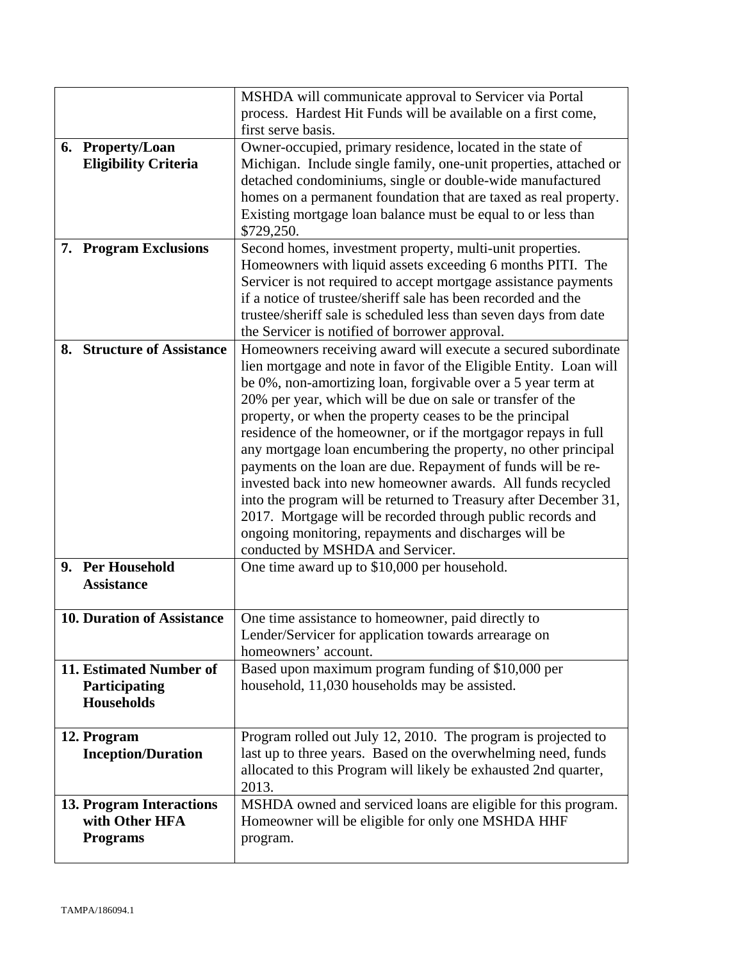|                                   | MSHDA will communicate approval to Servicer via Portal                                                                      |
|-----------------------------------|-----------------------------------------------------------------------------------------------------------------------------|
|                                   | process. Hardest Hit Funds will be available on a first come,                                                               |
|                                   | first serve basis.                                                                                                          |
| 6. Property/Loan                  | Owner-occupied, primary residence, located in the state of                                                                  |
| <b>Eligibility Criteria</b>       | Michigan. Include single family, one-unit properties, attached or                                                           |
|                                   | detached condominiums, single or double-wide manufactured                                                                   |
|                                   | homes on a permanent foundation that are taxed as real property.                                                            |
|                                   | Existing mortgage loan balance must be equal to or less than                                                                |
|                                   | \$729,250.                                                                                                                  |
| 7. Program Exclusions             | Second homes, investment property, multi-unit properties.                                                                   |
|                                   | Homeowners with liquid assets exceeding 6 months PITI. The                                                                  |
|                                   | Servicer is not required to accept mortgage assistance payments                                                             |
|                                   | if a notice of trustee/sheriff sale has been recorded and the                                                               |
|                                   | trustee/sheriff sale is scheduled less than seven days from date                                                            |
|                                   | the Servicer is notified of borrower approval.                                                                              |
| 8. Structure of Assistance        | Homeowners receiving award will execute a secured subordinate                                                               |
|                                   | lien mortgage and note in favor of the Eligible Entity. Loan will                                                           |
|                                   | be 0%, non-amortizing loan, forgivable over a 5 year term at                                                                |
|                                   | 20% per year, which will be due on sale or transfer of the                                                                  |
|                                   | property, or when the property ceases to be the principal<br>residence of the homeowner, or if the mortgagor repays in full |
|                                   |                                                                                                                             |
|                                   | any mortgage loan encumbering the property, no other principal                                                              |
|                                   | payments on the loan are due. Repayment of funds will be re-<br>invested back into new homeowner awards. All funds recycled |
|                                   | into the program will be returned to Treasury after December 31,                                                            |
|                                   | 2017. Mortgage will be recorded through public records and                                                                  |
|                                   | ongoing monitoring, repayments and discharges will be                                                                       |
|                                   | conducted by MSHDA and Servicer.                                                                                            |
| 9. Per Household                  | One time award up to \$10,000 per household.                                                                                |
| <b>Assistance</b>                 |                                                                                                                             |
|                                   |                                                                                                                             |
| <b>10. Duration of Assistance</b> | One time assistance to homeowner, paid directly to                                                                          |
|                                   | Lender/Servicer for application towards arrearage on                                                                        |
|                                   | homeowners' account.                                                                                                        |
| 11. Estimated Number of           | Based upon maximum program funding of \$10,000 per                                                                          |
| Participating                     | household, 11,030 households may be assisted.                                                                               |
| <b>Households</b>                 |                                                                                                                             |
|                                   |                                                                                                                             |
| 12. Program                       | Program rolled out July 12, 2010. The program is projected to                                                               |
| <b>Inception/Duration</b>         | last up to three years. Based on the overwhelming need, funds                                                               |
|                                   | allocated to this Program will likely be exhausted 2nd quarter,                                                             |
|                                   | 2013.                                                                                                                       |
| <b>13. Program Interactions</b>   | MSHDA owned and serviced loans are eligible for this program.                                                               |
| with Other HFA                    | Homeowner will be eligible for only one MSHDA HHF                                                                           |
| <b>Programs</b>                   | program.                                                                                                                    |
|                                   |                                                                                                                             |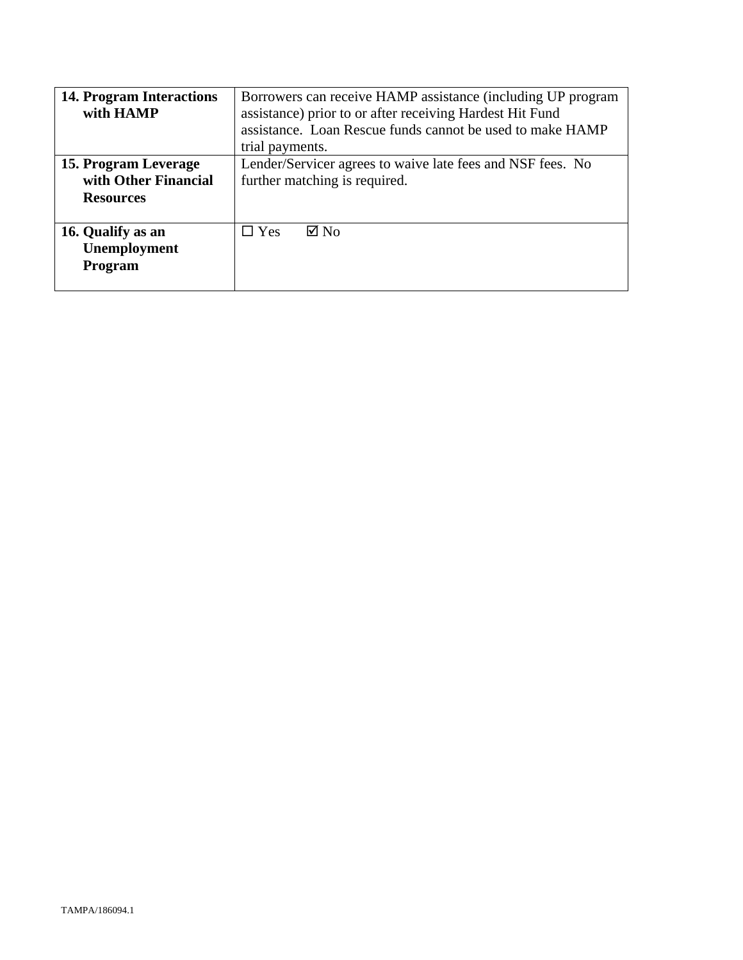| <b>14. Program Interactions</b><br>with HAMP                     | Borrowers can receive HAMP assistance (including UP program<br>assistance) prior to or after receiving Hardest Hit Fund<br>assistance. Loan Rescue funds cannot be used to make HAMP<br>trial payments. |
|------------------------------------------------------------------|---------------------------------------------------------------------------------------------------------------------------------------------------------------------------------------------------------|
| 15. Program Leverage<br>with Other Financial<br><b>Resources</b> | Lender/Servicer agrees to waive late fees and NSF fees. No<br>further matching is required.                                                                                                             |
| 16. Qualify as an<br>Unemployment<br>Program                     | $\boxtimes$ No<br>$\square$ Yes                                                                                                                                                                         |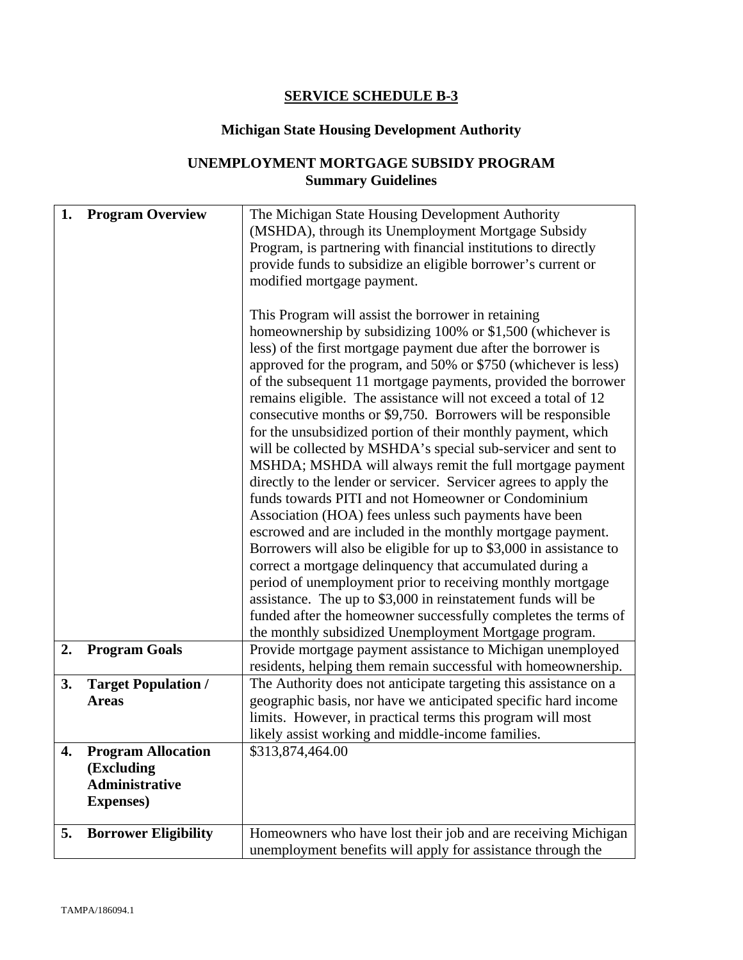## **SERVICE SCHEDULE B-3**

# **Michigan State Housing Development Authority**

# **UNEMPLOYMENT MORTGAGE SUBSIDY PROGRAM Summary Guidelines**

| (MSHDA), through its Unemployment Mortgage Subsidy<br>Program, is partnering with financial institutions to directly<br>provide funds to subsidize an eligible borrower's current or<br>modified mortgage payment.<br>This Program will assist the borrower in retaining<br>homeownership by subsidizing 100% or \$1,500 (whichever is<br>less) of the first mortgage payment due after the borrower is |
|---------------------------------------------------------------------------------------------------------------------------------------------------------------------------------------------------------------------------------------------------------------------------------------------------------------------------------------------------------------------------------------------------------|
|                                                                                                                                                                                                                                                                                                                                                                                                         |
|                                                                                                                                                                                                                                                                                                                                                                                                         |
|                                                                                                                                                                                                                                                                                                                                                                                                         |
|                                                                                                                                                                                                                                                                                                                                                                                                         |
|                                                                                                                                                                                                                                                                                                                                                                                                         |
|                                                                                                                                                                                                                                                                                                                                                                                                         |
|                                                                                                                                                                                                                                                                                                                                                                                                         |
|                                                                                                                                                                                                                                                                                                                                                                                                         |
| approved for the program, and 50% or \$750 (whichever is less)                                                                                                                                                                                                                                                                                                                                          |
| of the subsequent 11 mortgage payments, provided the borrower                                                                                                                                                                                                                                                                                                                                           |
| remains eligible. The assistance will not exceed a total of 12                                                                                                                                                                                                                                                                                                                                          |
| consecutive months or \$9,750. Borrowers will be responsible                                                                                                                                                                                                                                                                                                                                            |
| for the unsubsidized portion of their monthly payment, which                                                                                                                                                                                                                                                                                                                                            |
| will be collected by MSHDA's special sub-servicer and sent to                                                                                                                                                                                                                                                                                                                                           |
| MSHDA; MSHDA will always remit the full mortgage payment                                                                                                                                                                                                                                                                                                                                                |
| directly to the lender or servicer. Servicer agrees to apply the                                                                                                                                                                                                                                                                                                                                        |
| funds towards PITI and not Homeowner or Condominium                                                                                                                                                                                                                                                                                                                                                     |
| Association (HOA) fees unless such payments have been                                                                                                                                                                                                                                                                                                                                                   |
| escrowed and are included in the monthly mortgage payment.                                                                                                                                                                                                                                                                                                                                              |
| Borrowers will also be eligible for up to \$3,000 in assistance to                                                                                                                                                                                                                                                                                                                                      |
| correct a mortgage delinquency that accumulated during a                                                                                                                                                                                                                                                                                                                                                |
| period of unemployment prior to receiving monthly mortgage                                                                                                                                                                                                                                                                                                                                              |
| assistance. The up to \$3,000 in reinstatement funds will be                                                                                                                                                                                                                                                                                                                                            |
| funded after the homeowner successfully completes the terms of                                                                                                                                                                                                                                                                                                                                          |
| the monthly subsidized Unemployment Mortgage program.                                                                                                                                                                                                                                                                                                                                                   |
| <b>Program Goals</b><br>Provide mortgage payment assistance to Michigan unemployed<br>2.                                                                                                                                                                                                                                                                                                                |
| residents, helping them remain successful with homeownership.                                                                                                                                                                                                                                                                                                                                           |
| <b>Target Population /</b><br>The Authority does not anticipate targeting this assistance on a<br>3.                                                                                                                                                                                                                                                                                                    |
| geographic basis, nor have we anticipated specific hard income<br><b>Areas</b>                                                                                                                                                                                                                                                                                                                          |
| limits. However, in practical terms this program will most                                                                                                                                                                                                                                                                                                                                              |
| likely assist working and middle-income families.                                                                                                                                                                                                                                                                                                                                                       |
| 4.<br><b>Program Allocation</b><br>\$313,874,464.00                                                                                                                                                                                                                                                                                                                                                     |
| (Excluding                                                                                                                                                                                                                                                                                                                                                                                              |
| <b>Administrative</b>                                                                                                                                                                                                                                                                                                                                                                                   |
| <b>Expenses</b> )                                                                                                                                                                                                                                                                                                                                                                                       |
|                                                                                                                                                                                                                                                                                                                                                                                                         |
| <b>Borrower Eligibility</b><br>Homeowners who have lost their job and are receiving Michigan<br>5.                                                                                                                                                                                                                                                                                                      |
| unemployment benefits will apply for assistance through the                                                                                                                                                                                                                                                                                                                                             |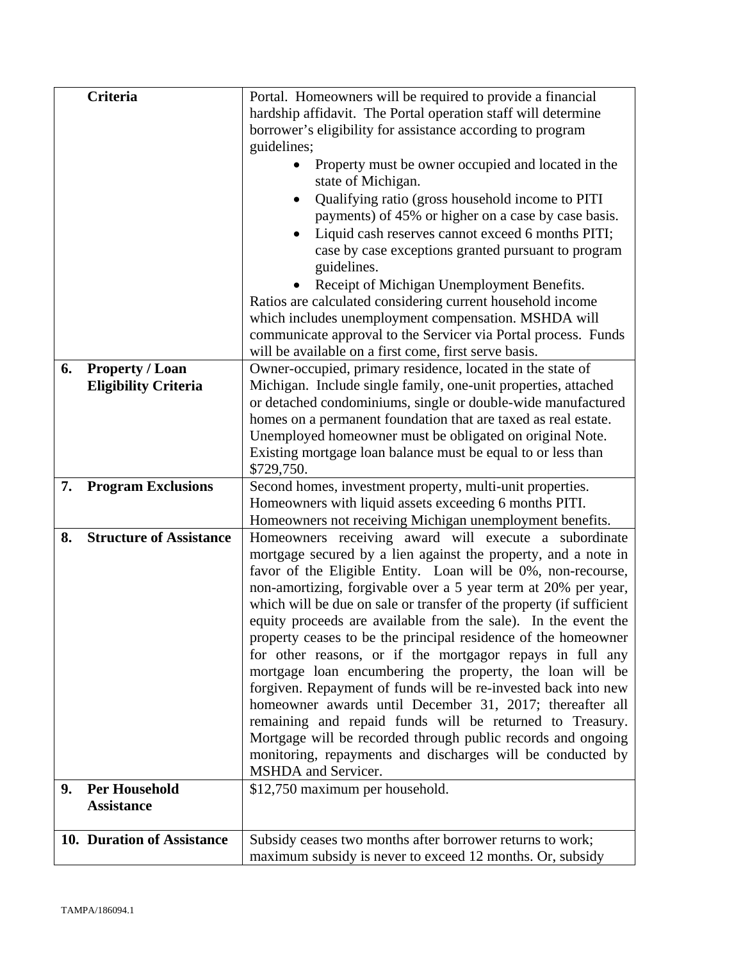|    | <b>Criteria</b>                | Portal. Homeowners will be required to provide a financial                                                              |
|----|--------------------------------|-------------------------------------------------------------------------------------------------------------------------|
|    |                                | hardship affidavit. The Portal operation staff will determine                                                           |
|    |                                | borrower's eligibility for assistance according to program                                                              |
|    |                                | guidelines;                                                                                                             |
|    |                                | Property must be owner occupied and located in the                                                                      |
|    |                                | state of Michigan.                                                                                                      |
|    |                                | Qualifying ratio (gross household income to PITI                                                                        |
|    |                                | payments) of 45% or higher on a case by case basis.                                                                     |
|    |                                | Liquid cash reserves cannot exceed 6 months PITI;                                                                       |
|    |                                | case by case exceptions granted pursuant to program                                                                     |
|    |                                | guidelines.                                                                                                             |
|    |                                | Receipt of Michigan Unemployment Benefits.                                                                              |
|    |                                | Ratios are calculated considering current household income                                                              |
|    |                                | which includes unemployment compensation. MSHDA will                                                                    |
|    |                                | communicate approval to the Servicer via Portal process. Funds<br>will be available on a first come, first serve basis. |
| 6. | <b>Property / Loan</b>         | Owner-occupied, primary residence, located in the state of                                                              |
|    | <b>Eligibility Criteria</b>    | Michigan. Include single family, one-unit properties, attached                                                          |
|    |                                | or detached condominiums, single or double-wide manufactured                                                            |
|    |                                | homes on a permanent foundation that are taxed as real estate.                                                          |
|    |                                | Unemployed homeowner must be obligated on original Note.                                                                |
|    |                                | Existing mortgage loan balance must be equal to or less than                                                            |
|    |                                | \$729,750.                                                                                                              |
|    |                                |                                                                                                                         |
| 7. | <b>Program Exclusions</b>      | Second homes, investment property, multi-unit properties.                                                               |
|    |                                | Homeowners with liquid assets exceeding 6 months PITI.                                                                  |
|    |                                | Homeowners not receiving Michigan unemployment benefits.                                                                |
| 8. | <b>Structure of Assistance</b> | Homeowners receiving award will execute a subordinate                                                                   |
|    |                                | mortgage secured by a lien against the property, and a note in                                                          |
|    |                                | favor of the Eligible Entity. Loan will be 0%, non-recourse,                                                            |
|    |                                | non-amortizing, forgivable over a 5 year term at 20% per year,                                                          |
|    |                                | which will be due on sale or transfer of the property (if sufficient                                                    |
|    |                                | equity proceeds are available from the sale). In the event the                                                          |
|    |                                | property ceases to be the principal residence of the homeowner                                                          |
|    |                                | for other reasons, or if the mortgagor repays in full any                                                               |
|    |                                | mortgage loan encumbering the property, the loan will be                                                                |
|    |                                | forgiven. Repayment of funds will be re-invested back into new                                                          |
|    |                                | homeowner awards until December 31, 2017; thereafter all                                                                |
|    |                                | remaining and repaid funds will be returned to Treasury.                                                                |
|    |                                | Mortgage will be recorded through public records and ongoing                                                            |
|    |                                | monitoring, repayments and discharges will be conducted by<br>MSHDA and Servicer.                                       |
| 9. | <b>Per Household</b>           |                                                                                                                         |
|    | <b>Assistance</b>              | \$12,750 maximum per household.                                                                                         |
|    |                                |                                                                                                                         |
|    | 10. Duration of Assistance     | Subsidy ceases two months after borrower returns to work;                                                               |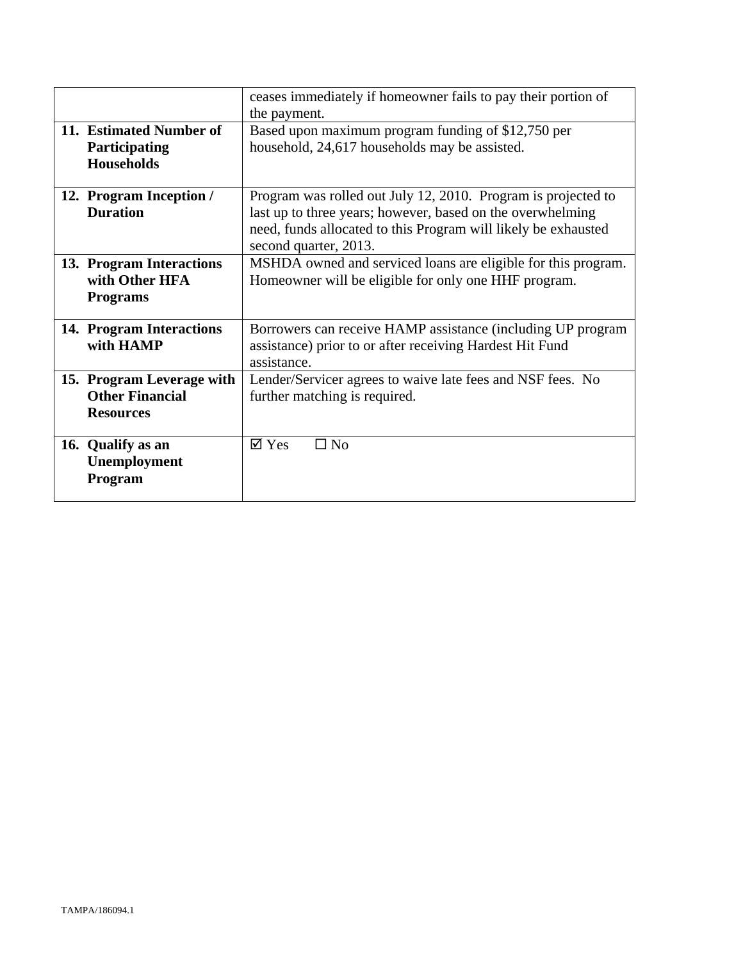|                                                                         | ceases immediately if homeowner fails to pay their portion of<br>the payment.                                                                                                                                          |
|-------------------------------------------------------------------------|------------------------------------------------------------------------------------------------------------------------------------------------------------------------------------------------------------------------|
| 11. Estimated Number of<br>Participating<br><b>Households</b>           | Based upon maximum program funding of \$12,750 per<br>household, 24,617 households may be assisted.                                                                                                                    |
| 12. Program Inception /<br><b>Duration</b>                              | Program was rolled out July 12, 2010. Program is projected to<br>last up to three years; however, based on the overwhelming<br>need, funds allocated to this Program will likely be exhausted<br>second quarter, 2013. |
| 13. Program Interactions<br>with Other HFA<br><b>Programs</b>           | MSHDA owned and serviced loans are eligible for this program.<br>Homeowner will be eligible for only one HHF program.                                                                                                  |
| 14. Program Interactions<br>with HAMP                                   | Borrowers can receive HAMP assistance (including UP program<br>assistance) prior to or after receiving Hardest Hit Fund<br>assistance.                                                                                 |
| 15. Program Leverage with<br><b>Other Financial</b><br><b>Resources</b> | Lender/Servicer agrees to waive late fees and NSF fees. No<br>further matching is required.                                                                                                                            |
| 16. Qualify as an<br>Unemployment<br>Program                            | $\overline{\mathsf{Y}}$ Yes<br>$\square$ No                                                                                                                                                                            |